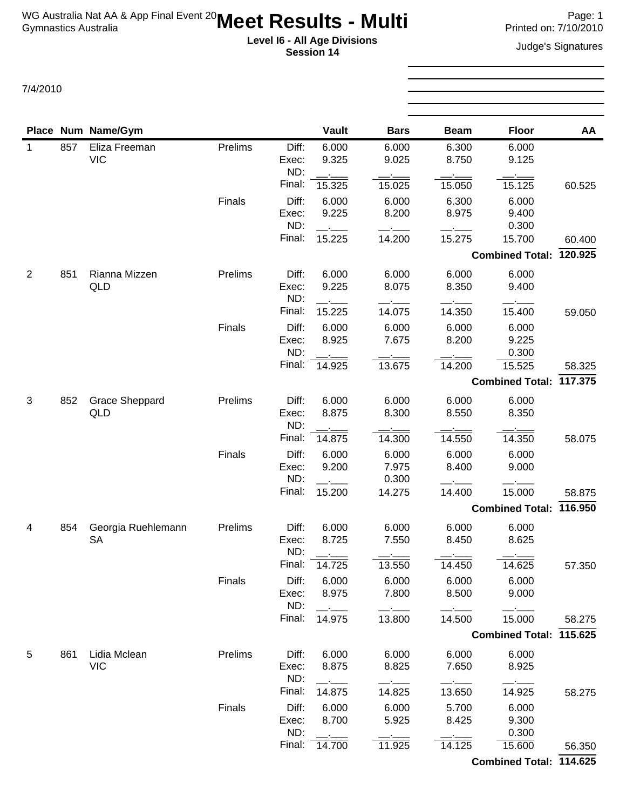**Session 14**

**Level I6 - All Age Divisions**<br> **Level I6 - All Age Divisions**<br> **Seccion 14** 

|             |     | Place Num Name/Gym    |         |                | <b>Vault</b>   | <b>Bars</b>    | <b>Beam</b>    | <b>Floor</b>            | AA      |
|-------------|-----|-----------------------|---------|----------------|----------------|----------------|----------------|-------------------------|---------|
| $\mathbf 1$ | 857 | Eliza Freeman         | Prelims | Diff:          | 6.000          | 6.000          | 6.300          | 6.000                   |         |
|             |     | <b>VIC</b>            |         | Exec:<br>ND:   | 9.325          | 9.025          | 8.750          | 9.125                   |         |
|             |     |                       |         | Final:         | 15.325         | 15.025         | 15.050         | 15.125                  | 60.525  |
|             |     |                       | Finals  | Diff:          | 6.000          | 6.000          | 6.300          | 6.000                   |         |
|             |     |                       |         | Exec:          | 9.225          | 8.200          | 8.975          | 9.400                   |         |
|             |     |                       |         | ND:            |                |                |                | 0.300                   |         |
|             |     |                       |         | Final:         | 15.225         | 14.200         | 15.275         | 15.700                  | 60.400  |
|             |     |                       |         |                |                |                |                | Combined Total: 120.925 |         |
| 2           | 851 | Rianna Mizzen         | Prelims | Diff:          | 6.000          | 6.000          | 6.000          | 6.000                   |         |
|             |     | QLD                   |         | Exec:<br>ND:   | 9.225          | 8.075          | 8.350          | 9.400                   |         |
|             |     |                       |         | Final:         | 15.225         | 14.075         | 14.350         | 15.400                  | 59.050  |
|             |     |                       | Finals  | Diff:          | 6.000          | 6.000          | 6.000          | 6.000                   |         |
|             |     |                       |         | Exec:          | 8.925          | 7.675          | 8.200          | 9.225                   |         |
|             |     |                       |         | ND:            |                |                |                | 0.300                   |         |
|             |     |                       |         | Final:         | 14.925         | 13.675         | 14.200         | 15.525                  | 58.325  |
|             |     |                       |         |                |                |                |                | <b>Combined Total:</b>  | 117.375 |
| 3           | 852 | <b>Grace Sheppard</b> | Prelims | Diff:          | 6.000          | 6.000          | 6.000          | 6.000                   |         |
|             |     | QLD                   |         | Exec:<br>ND:   | 8.875          | 8.300          | 8.550          | 8.350                   |         |
|             |     |                       |         | Final:         | 14.875         | 14.300         | 14.550         | 14.350                  | 58.075  |
|             |     |                       | Finals  | Diff:          | 6.000          | 6.000          | 6.000          | 6.000                   |         |
|             |     |                       |         | Exec:          | 9.200          | 7.975          | 8.400          | 9.000                   |         |
|             |     |                       |         | ND:            |                | 0.300          |                |                         |         |
|             |     |                       |         | Final:         | 15.200         | 14.275         | 14.400         | 15.000                  | 58.875  |
|             |     |                       |         |                |                |                |                | Combined Total: 116.950 |         |
| 4           | 854 | Georgia Ruehlemann    | Prelims | Diff:          | 6.000          | 6.000          | 6.000          | 6.000                   |         |
|             |     | <b>SA</b>             |         | Exec:          | 8.725          | 7.550          | 8.450          | 8.625                   |         |
|             |     |                       |         | ND:<br>Final:  |                |                |                |                         |         |
|             |     |                       |         |                | 14.725         | 13.550         | 14.450         | 14.625                  | 57.350  |
|             |     |                       | Finals  | Diff:<br>Exec: | 6.000<br>8.975 | 6.000<br>7.800 | 6.000<br>8.500 | 6.000<br>9.000          |         |
|             |     |                       |         | ND:            |                |                |                |                         |         |
|             |     |                       |         | Final:         | 14.975         | 13.800         | 14.500         | 15.000                  | 58.275  |
|             |     |                       |         |                |                |                |                | Combined Total: 115.625 |         |
| 5           | 861 | Lidia Mclean          | Prelims | Diff:          | 6.000          | 6.000          | 6.000          | 6.000                   |         |
|             |     | <b>VIC</b>            |         | Exec:          | 8.875          | 8.825          | 7.650          | 8.925                   |         |
|             |     |                       |         | ND:            |                |                |                |                         |         |
|             |     |                       |         | Final:         | 14.875         | 14.825         | 13.650         | 14.925                  | 58.275  |
|             |     |                       | Finals  | Diff:          | 6.000          | 6.000          | 5.700          | 6.000                   |         |
|             |     |                       |         | Exec:<br>ND:   | 8.700          | 5.925          | 8.425          | 9.300<br>0.300          |         |
|             |     |                       |         | Final:         | 14.700         | 11.925         | 14.125         | 15.600                  | 56.350  |
|             |     |                       |         |                |                |                |                | Combined Total: 114.625 |         |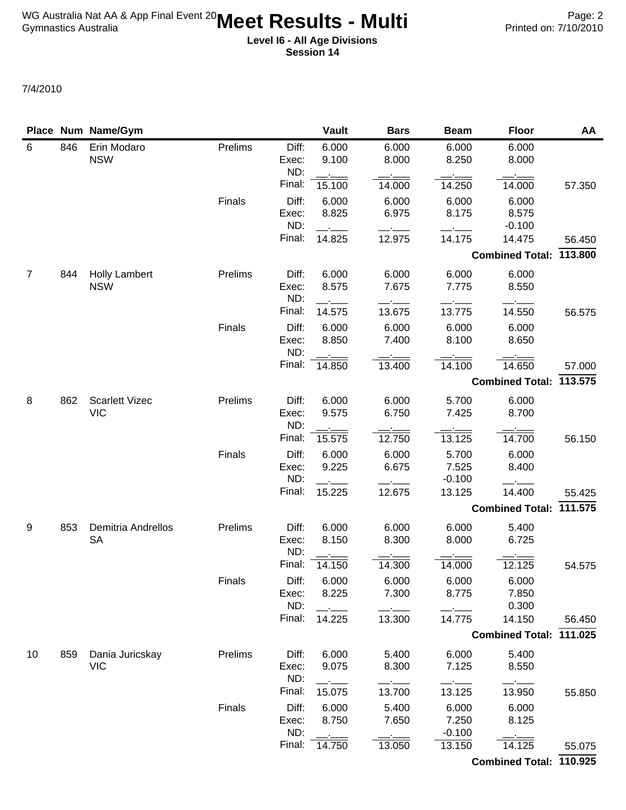|                |     | Place Num Name/Gym        |         |                       | <b>Vault</b>   | <b>Bars</b>    | <b>Beam</b>       | <b>Floor</b>               | AA     |
|----------------|-----|---------------------------|---------|-----------------------|----------------|----------------|-------------------|----------------------------|--------|
| 6              | 846 | Erin Modaro<br><b>NSW</b> | Prelims | Diff:<br>Exec:<br>ND: | 6.000<br>9.100 | 6.000<br>8.000 | 6.000<br>8.250    | 6.000<br>8.000             |        |
|                |     |                           |         | Final:                | 15.100         | 14.000         | 14.250            | 14.000                     | 57.350 |
|                |     |                           | Finals  | Diff:<br>Exec:<br>ND: | 6.000<br>8.825 | 6.000<br>6.975 | 6.000<br>8.175    | 6.000<br>8.575<br>$-0.100$ |        |
|                |     |                           |         | Final:                | 14.825         | 12.975         | 14.175            | 14.475                     | 56.450 |
|                |     |                           |         |                       |                |                |                   | Combined Total: 113.800    |        |
| $\overline{7}$ | 844 | <b>Holly Lambert</b>      | Prelims | Diff:                 | 6.000          | 6.000          | 6.000             | 6.000                      |        |
|                |     | <b>NSW</b>                |         | Exec:<br>ND:          | 8.575          | 7.675          | 7.775             | 8.550                      |        |
|                |     |                           |         | Final:                | 14.575         | 13.675         | 13.775            | 14.550                     | 56.575 |
|                |     |                           | Finals  | Diff:<br>Exec:<br>ND: | 6.000<br>8.850 | 6.000<br>7.400 | 6.000<br>8.100    | 6.000<br>8.650             |        |
|                |     |                           |         | Final:                | 14.850         | 13.400         | 14.100            | 14.650                     | 57.000 |
|                |     |                           |         |                       |                |                |                   | Combined Total: 113.575    |        |
| 8              | 862 | <b>Scarlett Vizec</b>     | Prelims | Diff:                 | 6.000          | 6.000          | 5.700             | 6.000                      |        |
|                |     | <b>VIC</b>                |         | Exec:<br>ND:          | 9.575          | 6.750          | 7.425             | 8.700                      |        |
|                |     |                           |         | Final:                | 15.575         | 12.750         | 13.125            | 14.700                     | 56.150 |
|                |     |                           | Finals  | Diff:<br>Exec:        | 6.000<br>9.225 | 6.000<br>6.675 | 5.700<br>7.525    | 6.000<br>8.400             |        |
|                |     |                           |         | ND:<br>Final:         | 15.225         | 12.675         | $-0.100$          | 14.400                     |        |
|                |     |                           |         |                       |                |                | 13.125            | Combined Total: 111.575    | 55.425 |
| 9              | 853 | <b>Demitria Andrellos</b> | Prelims | Diff:                 | 6.000          | 6.000          | 6.000             | 5.400                      |        |
|                |     | <b>SA</b>                 |         | Exec:<br>ND:          | 8.150          | 8.300          | 8.000             | 6.725                      |        |
|                |     |                           |         | Final:                | 14.150         | 14.300         | 14.000            | 12.125                     | 54.575 |
|                |     |                           | Finals  | Diff:<br>Exec:        | 6.000<br>8.225 | 6.000<br>7.300 | 6.000<br>8.775    | 6.000<br>7.850             |        |
|                |     |                           |         | ND:<br>Final:         | 14.225         | 13.300         | 14.775            | 0.300<br>14.150            | 56.450 |
|                |     |                           |         |                       |                |                |                   | Combined Total: 111.025    |        |
| 10             | 859 | Dania Juricskay           | Prelims | Diff:                 | 6.000          | 5.400          | 6.000             | 5.400                      |        |
|                |     | <b>VIC</b>                |         | Exec:<br>ND:          | 9.075          | 8.300          | 7.125             | 8.550                      |        |
|                |     |                           |         | Final:                | 15.075         | 13.700         | 13.125            | 13.950                     | 55.850 |
|                |     |                           | Finals  | Diff:                 | 6.000          | 5.400          | 6.000             | 6.000                      |        |
|                |     |                           |         | Exec:<br>ND:          | 8.750          | 7.650          | 7.250<br>$-0.100$ | 8.125                      |        |
|                |     |                           |         | Final:                | 14.750         | 13.050         | 13.150            | 14.125                     | 55.075 |
|                |     |                           |         |                       |                |                |                   | Combined Total: 110.925    |        |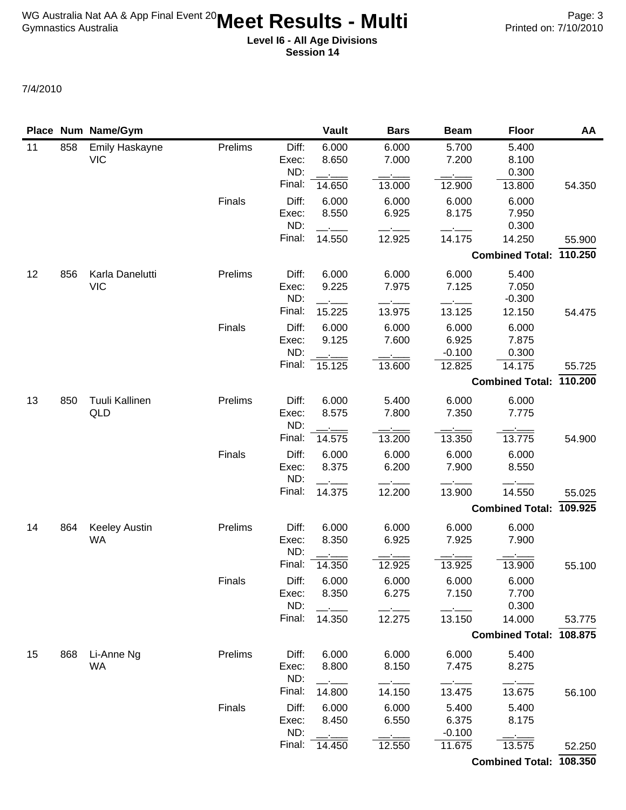|    |     | Place Num Name/Gym                  |         |                       | <b>Vault</b>    | <b>Bars</b>     | <b>Beam</b>        | <b>Floor</b>            | AA      |
|----|-----|-------------------------------------|---------|-----------------------|-----------------|-----------------|--------------------|-------------------------|---------|
| 11 | 858 | <b>Emily Haskayne</b><br><b>VIC</b> | Prelims | Diff:<br>Exec:<br>ND: | 6.000<br>8.650  | 6.000<br>7.000  | 5.700<br>7.200     | 5.400<br>8.100<br>0.300 |         |
|    |     |                                     |         | Final:                | 14.650          | 13.000          | 12.900             | 13.800                  | 54.350  |
|    |     |                                     | Finals  | Diff:<br>Exec:<br>ND: | 6.000<br>8.550  | 6.000<br>6.925  | 6.000<br>8.175     | 6.000<br>7.950<br>0.300 |         |
|    |     |                                     |         | Final:                | 14.550          | 12.925          | 14.175             | 14.250                  | 55.900  |
|    |     |                                     |         |                       |                 |                 |                    | Combined Total: 110.250 |         |
| 12 | 856 | Karla Danelutti                     | Prelims | Diff:                 | 6.000           | 6.000           | 6.000              | 5.400                   |         |
|    |     | <b>VIC</b>                          |         | Exec:                 | 9.225           | 7.975           | 7.125              | 7.050                   |         |
|    |     |                                     |         | ND:<br>Final:         |                 |                 |                    | $-0.300$                |         |
|    |     |                                     |         | Diff:                 | 15.225<br>6.000 | 13.975<br>6.000 | 13.125<br>6.000    | 12.150<br>6.000         | 54.475  |
|    |     |                                     | Finals  | Exec:                 | 9.125           | 7.600           | 6.925              | 7.875                   |         |
|    |     |                                     |         | ND:                   |                 |                 | $-0.100$           | 0.300                   |         |
|    |     |                                     |         | Final:                | 15.125          | 13.600          | 12.825             | 14.175                  | 55.725  |
|    |     |                                     |         |                       |                 |                 |                    | Combined Total: 110.200 |         |
| 13 | 850 | Tuuli Kallinen                      | Prelims | Diff:                 | 6.000           | 5.400           | 6.000              | 6.000                   |         |
|    |     | QLD                                 |         | Exec:<br>ND:          | 8.575           | 7.800           | 7.350              | 7.775                   |         |
|    |     |                                     |         | Final:                | 14.575          | 13.200          | 13.350             | 13.775                  | 54.900  |
|    |     |                                     | Finals  | Diff:                 | 6.000           | 6.000           | 6.000              | 6.000                   |         |
|    |     |                                     |         | Exec:<br>ND:          | 8.375           | 6.200           | 7.900              | 8.550                   |         |
|    |     |                                     |         | Final:                | 14.375          | 12.200          | 13.900             | 14.550                  | 55.025  |
|    |     |                                     |         |                       |                 |                 |                    | <b>Combined Total:</b>  | 109.925 |
| 14 | 864 | <b>Keeley Austin</b><br><b>WA</b>   | Prelims | Diff:<br>Exec:<br>ND: | 6.000<br>8.350  | 6.000<br>6.925  | 6.000<br>7.925     | 6.000<br>7.900          |         |
|    |     |                                     |         | Final:                | 14.350          | 12.925          | 13.925             | 13.900                  | 55.100  |
|    |     |                                     | Finals  | Diff:                 | 6.000           | 6.000           | 6.000              | 6.000                   |         |
|    |     |                                     |         | Exec:<br>ND:          | 8.350           | 6.275           | 7.150              | 7.700<br>0.300          |         |
|    |     |                                     |         | Final:                | 14.350          | 12.275          | 13.150             | 14.000                  | 53.775  |
|    |     |                                     |         |                       |                 |                 |                    | <b>Combined Total:</b>  | 108.875 |
| 15 | 868 | Li-Anne Ng                          | Prelims | Diff:                 | 6.000           | 6.000           | 6.000              | 5.400                   |         |
|    |     | WA                                  |         | Exec:<br>ND:          | 8.800           | 8.150           | 7.475              | 8.275                   |         |
|    |     |                                     |         | Final:                | 14.800          | 14.150          | 13.475             | 13.675                  | 56.100  |
|    |     |                                     | Finals  | Diff:                 | 6.000           | 6.000           | 5.400              | 5.400                   |         |
|    |     |                                     |         | Exec:                 | 8.450           | 6.550           | 6.375              | 8.175                   |         |
|    |     |                                     |         | ND:<br>Final:         | 14.450          | 12.550          | $-0.100$<br>11.675 | 13.575                  | 52.250  |
|    |     |                                     |         |                       |                 |                 |                    | Combined Total: 108.350 |         |
|    |     |                                     |         |                       |                 |                 |                    |                         |         |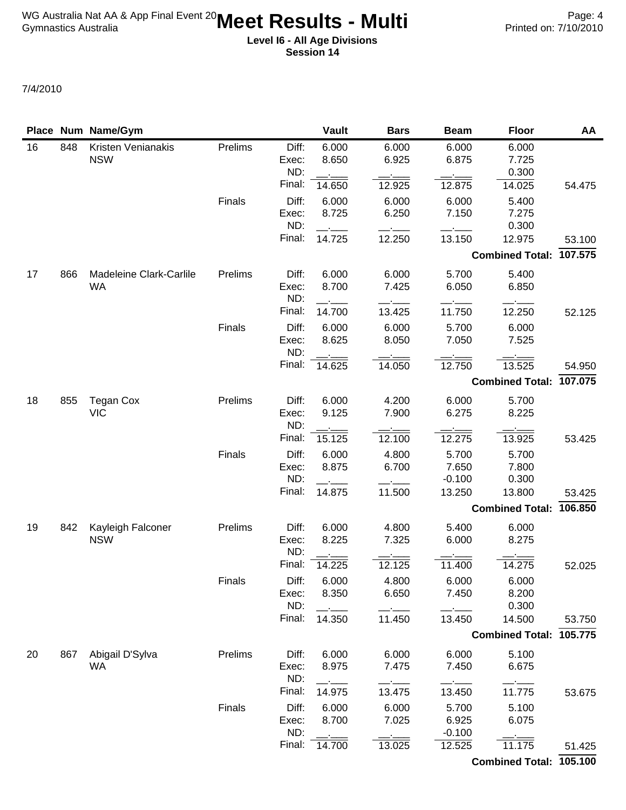|    |     | Place Num Name/Gym               |         |                       | <b>Vault</b>   | <b>Bars</b>    | <b>Beam</b>        | <b>Floor</b>            | AA     |
|----|-----|----------------------------------|---------|-----------------------|----------------|----------------|--------------------|-------------------------|--------|
| 16 | 848 | Kristen Venianakis<br><b>NSW</b> | Prelims | Diff:<br>Exec:<br>ND: | 6.000<br>8.650 | 6.000<br>6.925 | 6.000<br>6.875     | 6.000<br>7.725<br>0.300 |        |
|    |     |                                  |         | Final:                | 14.650         | 12.925         | 12.875             | 14.025                  | 54.475 |
|    |     |                                  | Finals  | Diff:<br>Exec:<br>ND: | 6.000<br>8.725 | 6.000<br>6.250 | 6.000<br>7.150     | 5.400<br>7.275<br>0.300 |        |
|    |     |                                  |         | Final:                | 14.725         | 12.250         | 13.150             | 12.975                  | 53.100 |
|    |     |                                  |         |                       |                |                |                    | Combined Total: 107.575 |        |
| 17 | 866 | Madeleine Clark-Carlile          | Prelims | Diff:                 | 6.000          | 6.000          | 5.700              | 5.400                   |        |
|    |     | <b>WA</b>                        |         | Exec:<br>ND:          | 8.700          | 7.425          | 6.050              | 6.850                   |        |
|    |     |                                  |         | Final:                | 14.700         | 13.425         | 11.750             | 12.250                  | 52.125 |
|    |     |                                  | Finals  | Diff:<br>Exec:<br>ND: | 6.000<br>8.625 | 6.000<br>8.050 | 5.700<br>7.050     | 6.000<br>7.525          |        |
|    |     |                                  |         | Final:                | 14.625         | 14.050         | 12.750             | 13.525                  | 54.950 |
|    |     |                                  |         |                       |                |                |                    | Combined Total: 107.075 |        |
| 18 | 855 | <b>Tegan Cox</b>                 | Prelims | Diff:                 | 6.000          | 4.200          | 6.000              | 5.700                   |        |
|    |     | <b>VIC</b>                       |         | Exec:<br>ND:          | 9.125          | 7.900          | 6.275              | 8.225                   |        |
|    |     |                                  |         | Final:                | 15.125         | 12.100         | 12.275             | 13.925                  | 53.425 |
|    |     |                                  | Finals  | Diff:                 | 6.000          | 4.800          | 5.700              | 5.700                   |        |
|    |     |                                  |         | Exec:<br>ND:          | 8.875          | 6.700          | 7.650              | 7.800                   |        |
|    |     |                                  |         | Final:                | 14.875         | 11.500         | $-0.100$<br>13.250 | 0.300<br>13.800         | 53.425 |
|    |     |                                  |         |                       |                |                |                    | Combined Total: 106.850 |        |
| 19 | 842 | Kayleigh Falconer                | Prelims | Diff:                 | 6.000          | 4.800          | 5.400              | 6.000                   |        |
|    |     | <b>NSW</b>                       |         | Exec:<br>ND:          | 8.225          | 7.325          | 6.000              | 8.275                   |        |
|    |     |                                  |         | Final:                | 14.225         | 12.125         | 11.400             | 14.275                  | 52.025 |
|    |     |                                  | Finals  | Diff:                 | 6.000          | 4.800          | 6.000              | 6.000                   |        |
|    |     |                                  |         | Exec:                 | 8.350          | 6.650          | 7.450              | 8.200                   |        |
|    |     |                                  |         | ND:<br>Final:         | 14.350         | 11.450         | 13.450             | 0.300<br>14.500         | 53.750 |
|    |     |                                  |         |                       |                |                |                    | Combined Total: 105.775 |        |
| 20 | 867 | Abigail D'Sylva                  | Prelims | Diff:                 | 6.000          | 6.000          | 6.000              | 5.100                   |        |
|    |     | <b>WA</b>                        |         | Exec:<br>ND:          | 8.975          | 7.475          | 7.450              | 6.675                   |        |
|    |     |                                  |         | Final:                | 14.975         | 13.475         | 13.450             | 11.775                  | 53.675 |
|    |     |                                  | Finals  | Diff:                 | 6.000          | 6.000          | 5.700              | 5.100                   |        |
|    |     |                                  |         | Exec:<br>ND:          | 8.700          | 7.025          | 6.925<br>$-0.100$  | 6.075                   |        |
|    |     |                                  |         | Final:                | 14.700         | 13.025         | 12.525             | 11.175                  | 51.425 |
|    |     |                                  |         |                       |                |                |                    | Combined Total: 105.100 |        |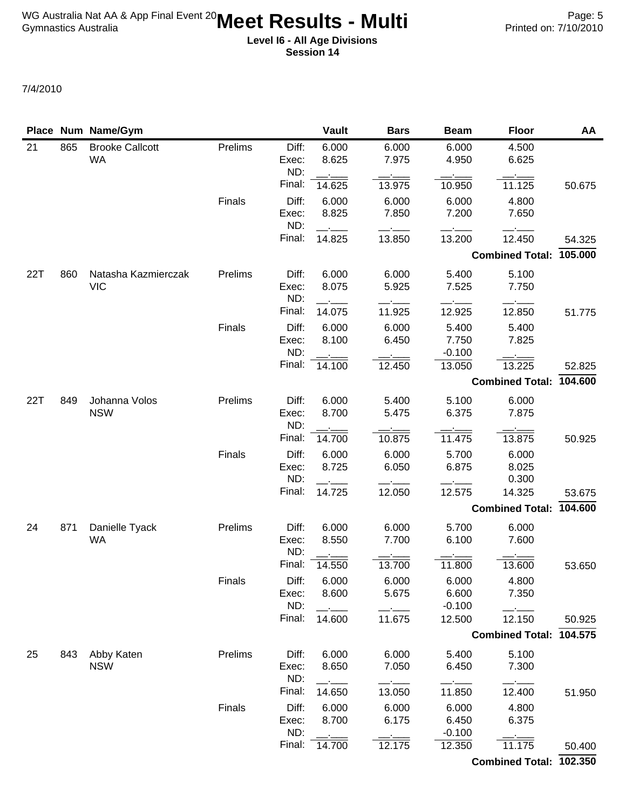|     |     | Place Num Name/Gym                  |         |                       | <b>Vault</b>   | <b>Bars</b>    | <b>Beam</b>        | <b>Floor</b>            | AA      |
|-----|-----|-------------------------------------|---------|-----------------------|----------------|----------------|--------------------|-------------------------|---------|
| 21  | 865 | <b>Brooke Callcott</b><br><b>WA</b> | Prelims | Diff:<br>Exec:        | 6.000<br>8.625 | 6.000<br>7.975 | 6.000<br>4.950     | 4.500<br>6.625          |         |
|     |     |                                     |         | ND:<br>Final:         | 14.625         | 13.975         | 10.950             | 11.125                  | 50.675  |
|     |     |                                     |         |                       |                |                |                    |                         |         |
|     |     |                                     | Finals  | Diff:<br>Exec:<br>ND: | 6.000<br>8.825 | 6.000<br>7.850 | 6.000<br>7.200     | 4.800<br>7.650          |         |
|     |     |                                     |         | Final:                | 14.825         | 13.850         | 13.200             | 12.450                  | 54.325  |
|     |     |                                     |         |                       |                |                |                    | <b>Combined Total:</b>  | 105.000 |
| 22T | 860 | Natasha Kazmierczak                 | Prelims | Diff:                 | 6.000          | 6.000          | 5.400              | 5.100                   |         |
|     |     | <b>VIC</b>                          |         | Exec:<br>ND:          | 8.075          | 5.925          | 7.525              | 7.750                   |         |
|     |     |                                     |         | Final:                | 14.075         | 11.925         | 12.925             | 12.850                  | 51.775  |
|     |     |                                     | Finals  | Diff:                 | 6.000          | 6.000          | 5.400              | 5.400                   |         |
|     |     |                                     |         | Exec:<br>ND:          | 8.100          | 6.450          | 7.750<br>$-0.100$  | 7.825                   |         |
|     |     |                                     |         | Final:                | 14.100         | 12.450         | 13.050             | 13.225                  | 52.825  |
|     |     |                                     |         |                       |                |                |                    | <b>Combined Total:</b>  | 104.600 |
| 22T | 849 | Johanna Volos                       | Prelims | Diff:                 | 6.000          | 5.400          | 5.100              | 6.000                   |         |
|     |     | <b>NSW</b>                          |         | Exec:<br>ND:          | 8.700          | 5.475          | 6.375              | 7.875                   |         |
|     |     |                                     |         | Final:                | 14.700         | 10.875         | 11.475             | 13.875                  | 50.925  |
|     |     |                                     | Finals  | Diff:                 | 6.000          | 6.000          | 5.700              | 6.000                   |         |
|     |     |                                     |         | Exec:<br>ND:          | 8.725          | 6.050          | 6.875              | 8.025<br>0.300          |         |
|     |     |                                     |         | Final:                | 14.725         | 12.050         | 12.575             | 14.325                  | 53.675  |
|     |     |                                     |         |                       |                |                |                    | <b>Combined Total:</b>  | 104.600 |
| 24  | 871 | Danielle Tyack                      | Prelims | Diff:                 | 6.000          | 6.000          | 5.700              | 6.000                   |         |
|     |     | <b>WA</b>                           |         | Exec:<br>ND:          | 8.550          | 7.700          | 6.100              | 7.600                   |         |
|     |     |                                     |         | Final:                | 14.550         | 13.700         | 11.800             | 13.600                  | 53.650  |
|     |     |                                     | Finals  | Diff:                 | 6.000          | 6.000          | 6.000              | 4.800                   |         |
|     |     |                                     |         | Exec:                 | 8.600          | 5.675          | 6.600              | 7.350                   |         |
|     |     |                                     |         | ND:<br>Final:         | 14.600         | 11.675         | $-0.100$<br>12.500 | 12.150                  | 50.925  |
|     |     |                                     |         |                       |                |                |                    | <b>Combined Total:</b>  | 104.575 |
|     |     |                                     |         |                       |                |                |                    |                         |         |
| 25  | 843 | Abby Katen<br><b>NSW</b>            | Prelims | Diff:<br>Exec:<br>ND: | 6.000<br>8.650 | 6.000<br>7.050 | 5.400<br>6.450     | 5.100<br>7.300          |         |
|     |     |                                     |         | Final:                | 14.650         | 13.050         | 11.850             | 12.400                  | 51.950  |
|     |     |                                     | Finals  | Diff:                 | 6.000          | 6.000          | 6.000              | 4.800                   |         |
|     |     |                                     |         | Exec:                 | 8.700          | 6.175          | 6.450              | 6.375                   |         |
|     |     |                                     |         | ND:                   |                |                | $-0.100$           |                         |         |
|     |     |                                     |         | Final:                | 14.700         | 12.175         | 12.350             | 11.175                  | 50.400  |
|     |     |                                     |         |                       |                |                |                    | Combined Total: 102.350 |         |